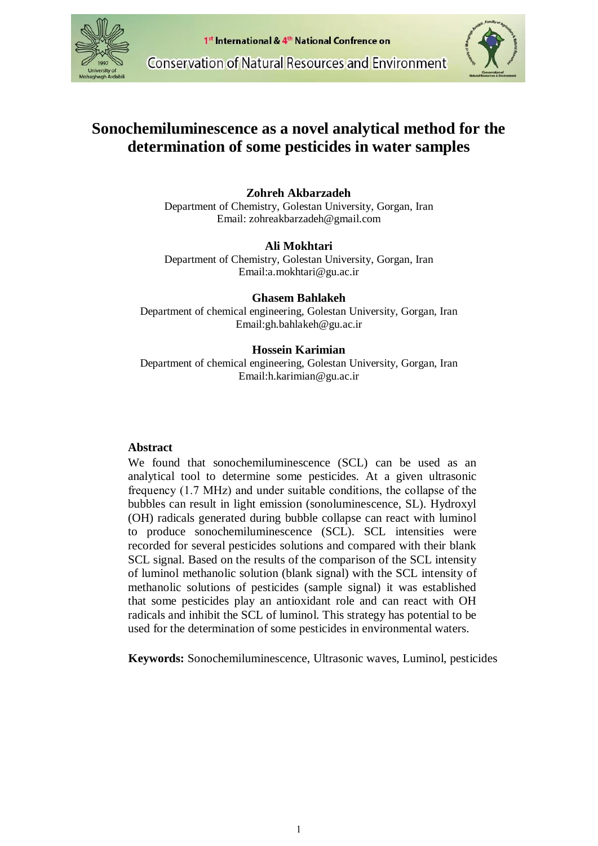



# **Sonochemiluminescence as a novel analytical method for the determination of some pesticides in water samples**

# **Zohreh Akbarzadeh**

Department of Chemistry, Golestan University, Gorgan, Iran Email: zohreakbarzadeh@gmail.com

## **Ali Mokhtari**

Department of Chemistry, Golestan University, Gorgan, Iran Email:a.mokhtari@gu.ac.ir

# **Ghasem Bahlakeh**

Department of chemical engineering, Golestan University, Gorgan, Iran Email:gh.bahlakeh@gu.ac.ir

# **Hossein Karimian**

Department of chemical engineering, Golestan University, Gorgan, Iran Email:h.karimian@gu.ac.ir

# **Abstract**

We found that sonochemiluminescence (SCL) can be used as an analytical tool to determine some pesticides. At a given ultrasonic frequency (1.7 MHz) and under suitable conditions, the collapse of the bubbles can result in light emission (sonoluminescence, SL). Hydroxyl (OH) radicals generated during bubble collapse can react with luminol to produce sonochemiluminescence (SCL). SCL intensities were recorded for several pesticides solutions and compared with their blank SCL signal. Based on the results of the comparison of the SCL intensity of luminol methanolic solution (blank signal) with the SCL intensity of methanolic solutions of pesticides (sample signal) it was established that some pesticides play an antioxidant role and can react with OH radicals and inhibit the SCL of luminol. This strategy has potential to be used for the determination of some pesticides in environmental waters.

 **Keywords:** Sonochemiluminescence, Ultrasonic waves, Luminol, pesticides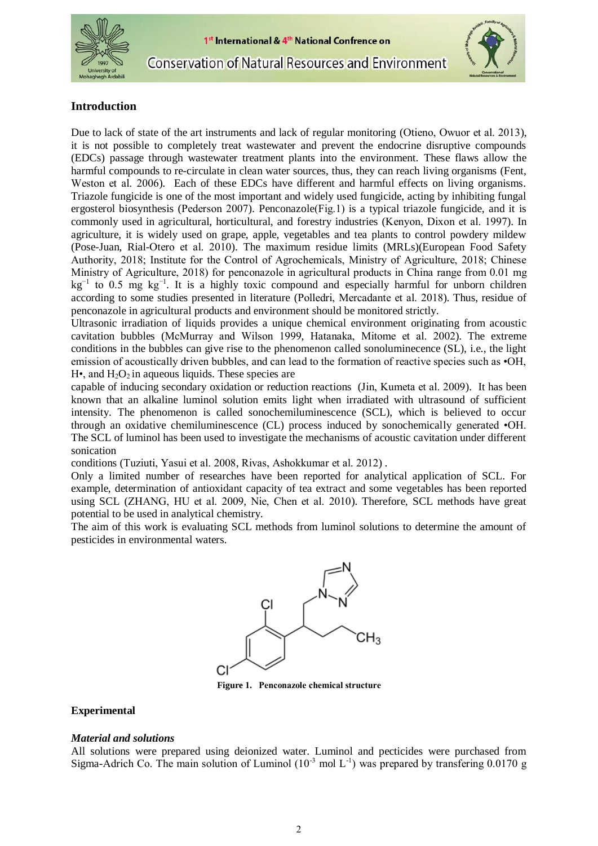



**Conservation of Natural Resources and Environment** 



# **Introduction**

Due to lack of state of the art instruments and lack of regular monitoring [\(Otieno,](#page-4-0) Owuor et al. 2013), it is not possible to completely treat wastewater and prevent the endocrine disruptive compounds (EDCs) passage through wastewater treatment plants into the environment. These flaws allow the harmful compounds to re-circulate in clean water sources, thus, they can reach living organisms [\(Fent,](#page-3-0)  [Weston](#page-3-0) et al. 2006). Each of these EDCs have different and harmful effects on living organisms. Triazole fungicide is one of the most important and widely used fungicide, acting by inhibiting fungal ergosterol biosynthesis [\(Pederson](#page-4-1) 2007). Penconazole(Fig.1) is a typical triazole fungicide, and it is commonly used in agricultural, horticultural, and forestry industries [\(Kenyon,](#page-4-2) Dixon et al. 1997). In agriculture, it is widely used on grape, apple, vegetables and tea plants to control powdery mildew [\(Pose-Juan, Rial-Otero](#page-4-3) et al. 2010). The maximum residue limits (MRLs)(European Food Safety Authority, 2018; Institute for the Control of Agrochemicals, Ministry of Agriculture, 2018; Chinese Ministry of Agriculture, 2018) for penconazole in agricultural products in China range from 0.01 mg  $kg^{-1}$  to 0.5 mg  $kg^{-1}$ . It is a highly toxic compound and especially harmful for unborn children according to some studies presented in literature (Polledri, [Mercadante](#page-4-4) et al. 2018). Thus, residue of penconazole in agricultural products and environment should be monitored strictly.

Ultrasonic irradiation of liquids provides a unique chemical environment originating from acoustic cavitation bubbles [\(McMurray](#page-4-5) and Wilson 1999, [Hatanaka,](#page-3-1) Mitome et al. 2002). The extreme conditions in the bubbles can give rise to the phenomenon called sonoluminecence (SL), i.e., the light emission of acoustically driven bubbles, and can lead to the formation of reactive species such as •OH,  $H_{\bullet}$ , and  $H_2O_2$  in aqueous liquids. These species are

capable of inducing secondary oxidation or reduction reactions (Jin, [Kumeta](#page-3-2) et al. 2009). It has been known that an alkaline luminol solution emits light when irradiated with ultrasound of sufficient intensity. The phenomenon is called sonochemiluminescence (SCL), which is believed to occur through an oxidative chemiluminescence (CL) process induced by sonochemically generated •OH. The SCL of luminol has been used to investigate the mechanisms of acoustic cavitation under different sonication

conditions [\(Tuziuti,](#page-4-6) Yasui et al. 2008, Rivas, [Ashokkumar](#page-4-7) et al. 2012) .

Only a limited number of researches have been reported for analytical application of SCL. For example, determination of antioxidant capacity of tea extract and some vegetables has been reported using SCL [\(ZHANG,](#page-4-8) HU et al. 2009, Nie, Chen et al. [2010\)](#page-4-9). Therefore, SCL methods have great potential to be used in analytical chemistry.

The aim of this work is evaluating SCL methods from luminol solutions to determine the amount of pesticides in environmental waters.



**Figure 1. Penconazole chemical structure**

#### **Experimental**

#### *Material and solutions*

All solutions were prepared using deionized water. Luminol and pecticides were purchased from Sigma-Adrich Co. The main solution of Luminol  $(10^{-3} \text{ mol L}^{-1})$  was prepared by transfering 0.0170 g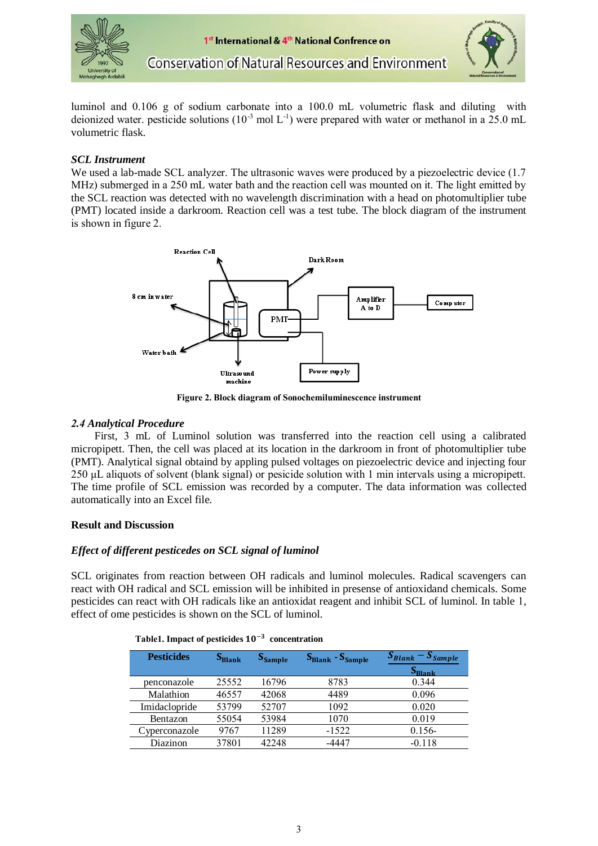



**Conservation of Natural Resources and Environment** 

luminol and 0.106 g of sodium carbonate into a 100.0 mL volumetric flask and diluting with deionized water. pesticide solutions ( $10^{-3}$  mol L<sup>-1</sup>) were prepared with water or methanol in a 25.0 mL volumetric flask.

# *SCL Instrument*

We used a lab-made SCL analyzer. The ultrasonic waves were produced by a piezoelectric device  $(1.7)$ MHz) submerged in a 250 mL water bath and the reaction cell was mounted on it. The light emitted by the SCL reaction was detected with no wavelength discrimination with a head on photomultiplier tube (PMT) located inside a darkroom. Reaction cell was a test tube. The block diagram of the instrument is shown in figure 2.



**Figure 2. Block diagram of Sonochemiluminescence instrument**

#### *2.4 Analytical Procedure*

 First, 3 mL of Luminol solution was transferred into the reaction cell using a calibrated micropipett. Then, the cell was placed at its location in the darkroom in front of photomultiplier tube (PMT). Analytical signal obtaind by appling pulsed voltages on piezoelectric device and injecting four 250 μL aliquots of solvent (blank signal) or pesicide solution with 1 min intervals using a micropipett. The time profile of SCL emission was recorded by a computer. The data information was collected automatically into an Excel file.

## **Result and Discussion**

## *Effect of different pesticedes on SCL signal of luminol*

SCL originates from reaction between OH radicals and luminol molecules. Radical scavengers can react with OH radical and SCL emission will be inhibited in presense of antioxidand chemicals. Some pesticides can react with OH radicals like an antioxidat reagent and inhibit SCL of luminol. In table 1, effect of ome pesticides is shown on the SCL of luminol.

| <b>Pesticides</b>     | S <sub>blank</sub> | <b>S</b> sample | $SBlank - SSample$ | $S_{\text{Blank}} - S_{\text{Sample}}$<br>S <sub>Blank</sub> |
|-----------------------|--------------------|-----------------|--------------------|--------------------------------------------------------------|
| penconazole           | 25552              | 16796           | 8783               | 0.344                                                        |
| Malathion             | 46557              | 42068           | 4489               | 0.096                                                        |
| Imidaclopride         | 53799              | 52707           | 1092               | 0.020                                                        |
| Bentazon              | 55054              | 53984           | 1070               | 0.019                                                        |
| <i>E</i> vperconazole | 9767               | 11289           | $-1522$            | $0.156 -$                                                    |
| Diazinon              | 37801              | 42248           | -4447              | $-0.118$                                                     |

|  |  |  | Table1. Impact of pesticides $10^{-3}$ concentration |
|--|--|--|------------------------------------------------------|
|--|--|--|------------------------------------------------------|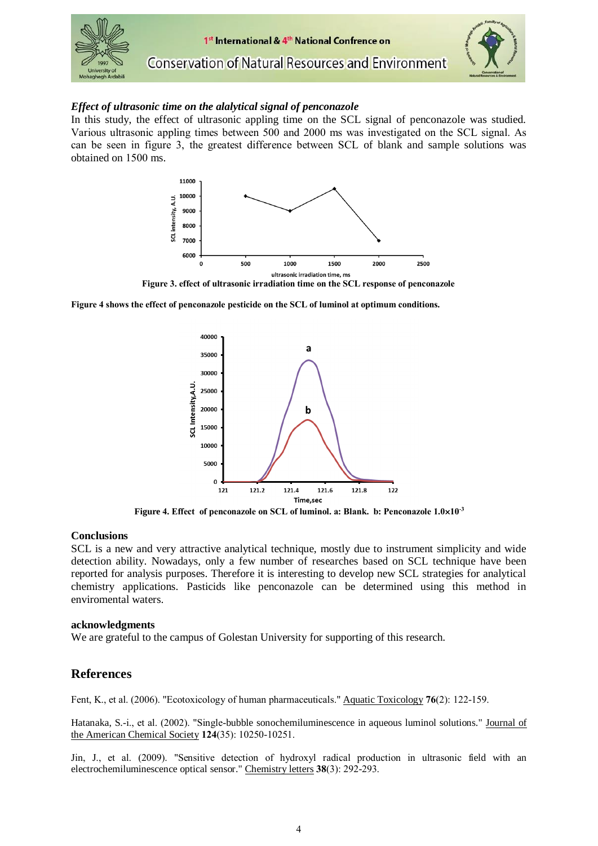

#### *Effect of ultrasonic time on the alalytical signal of penconazole*

In this study, the effect of ultrasonic appling time on the SCL signal of penconazole was studied. Various ultrasonic appling times between 500 and 2000 ms was investigated on the SCL signal. As can be seen in figure 3, the greatest difference between SCL of blank and sample solutions was obtained on 1500 ms.



**Figure 3. effect of ultrasonic irradiation time on the SCL response of penconazole**

**Figure 4 shows the effect of penconazole pesticide on the SCL of luminol at optimum conditions.**



**-3 Figure 4. Effect of penconazole on SCL of luminol. a: Blank. b: Penconazole 1.010**

#### **Conclusions**

SCL is a new and very attractive analytical technique, mostly due to instrument simplicity and wide detection ability. Nowadays, only a few number of researches based on SCL technique have been reported for analysis purposes. Therefore it is interesting to develop new SCL strategies for analytical chemistry applications. Pasticids like penconazole can be determined using this method in enviromental waters.

#### **acknowledgments**

We are grateful to the campus of Golestan University for supporting of this research.

## **References**

<span id="page-3-0"></span>Fent, K., et al. (2006). "Ecotoxicology of human pharmaceuticals." Aquatic Toxicology **76**(2): 122-159.

<span id="page-3-1"></span>Hatanaka, S.-i., et al. (2002). "Single-bubble sonochemiluminescence in aqueous luminol solutions." Journal of the American Chemical Society **124**(35): 10250-10251.

<span id="page-3-2"></span>Jin, J., et al. (2009). "Sensitive detection of hydroxyl radical production in ultrasonic field with an electrochemiluminescence optical sensor." Chemistry letters **38**(3): 292-293.